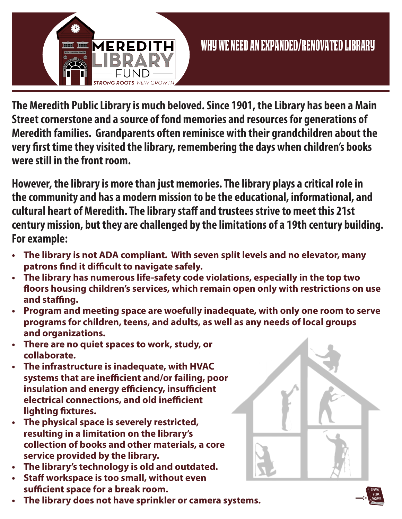

**The Meredith Public Library is much beloved. Since 1901, the Library has been a Main Street cornerstone and a source of fond memories and resources for generations of Meredith families. Grandparents often reminisce with their grandchildren about the very first time they visited the library, remembering the days when children's books were still in the front room.** 

**However, the library is more than just memories. The library plays a critical role in the community and has a modern mission to be the educational, informational, and cultural heart of Meredith. The library staff and trustees strive to meet this 21st century mission, but they are challenged by the limitations of a 19th century building. For example:**

- **• The library is not ADA compliant. With seven split levels and no elevator, many patrons find it difficult to navigate safely.**
- **• The library has numerous life-safety code violations, especially in the top two floors housing children's services, which remain open only with restrictions on use and staffing.**
- **• Program and meeting space are woefully inadequate, with only one room to serve programs for children, teens, and adults, as well as any needs of local groups and organizations.**
- **• There are no quiet spaces to work, study, or collaborate.**
- **• The infrastructure is inadequate, with HVAC systems that are inefficient and/or failing, poor insulation and energy efficiency, insufficient electrical connections, and old inefficient lighting fixtures.**
- **• The physical space is severely restricted, resulting in a limitation on the library's collection of books and other materials, a core service provided by the library.**
- **• The library's technology is old and outdated.**
- **• Staff workspace is too small, without even sufficient space for a break room.**
- **• The library does not have sprinkler or camera systems.**